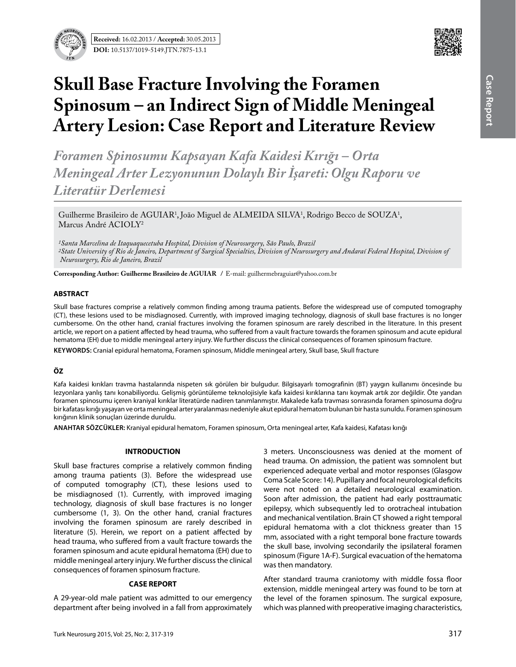

# **Skull Base Fracture Involving the Foramen Spinosum – an Indirect Sign of Middle Meningeal Artery Lesion: Case Report and Literature Review**

*Foramen Spinosumu Kapsayan Kafa Kaidesi Kırığı – Orta Meningeal Arter Lezyonunun Dolaylı Bir İşareti: Olgu Raporu ve Literatür Derlemesi* 

 $\rm{Guilherme}$  Brasileiro de AGUIAR<sup>1</sup>, João Miguel de ALMEIDA SILVA<sup>1</sup>, Rodrigo Becco de SOUZA<sup>1</sup>, Marcus André ACIOLY<sup>2</sup>

*1Santa Marcelina de Itaquaquecetuba Hospital, Division of Neurosurgery, São Paulo, Brazil 2State University of Rio de Janeiro, Department of Surgical Specialties, Division of Neurosurgery and Andaraí Federal Hospital, Division of Neurosurgery, Rio de Janeiro, Brazil*

**Corresponding Author: Guilherme Brasileiro de AguIar /** E-mail: guilhermebraguiar@yahoo.com.br

#### **ABSTRACT**

Skull base fractures comprise a relatively common finding among trauma patients. Before the widespread use of computed tomography (CT), these lesions used to be misdiagnosed. Currently, with improved imaging technology, diagnosis of skull base fractures is no longer cumbersome. On the other hand, cranial fractures involving the foramen spinosum are rarely described in the literature. In this present article, we report on a patient affected by head trauma, who suffered from a vault fracture towards the foramen spinosum and acute epidural hematoma (EH) due to middle meningeal artery injury. We further discuss the clinical consequences of foramen spinosum fracture.

**Keywords:** Cranial epidural hematoma, Foramen spinosum, Middle meningeal artery, Skull base, Skull fracture

# **ÖZ**

Kafa kaidesi kırıkları travma hastalarında nispeten sık görülen bir bulgudur. Bilgisayarlı tomografinin (BT) yaygın kullanımı öncesinde bu lezyonlara yanlış tanı konabiliyordu. Gelişmiş görüntüleme teknolojisiyle kafa kaidesi kırıklarına tanı koymak artık zor değildir. Öte yandan foramen spinosumu içeren kraniyal kırıklar literatürde nadiren tanımlanmıştır. Makalede kafa travması sonrasında foramen spinosuma doğru bir kafatası kırığı yaşayan ve orta meningeal arter yaralanması nedeniyle akut epidural hematom bulunan bir hasta sunuldu. Foramen spinosum kırığının klinik sonuçları üzerinde duruldu.

**ANAHTAR SÖZCÜKLER:** Kraniyal epidural hematom, Foramen spinosum, Orta meningeal arter, Kafa kaidesi, Kafatası kırığı

# **INTRODUCTION**

Skull base fractures comprise a relatively common finding among trauma patients (3). Before the widespread use of computed tomography (CT), these lesions used to be misdiagnosed (1). Currently, with improved imaging technology, diagnosis of skull base fractures is no longer cumbersome (1, 3). On the other hand, cranial fractures involving the foramen spinosum are rarely described in literature (5). Herein, we report on a patient affected by head trauma, who suffered from a vault fracture towards the foramen spinosum and acute epidural hematoma (EH) due to middle meningeal artery injury. We further discuss the clinical consequences of foramen spinosum fracture.

#### **CASE REPORT**

A 29-year-old male patient was admitted to our emergency department after being involved in a fall from approximately

3 meters. Unconsciousness was denied at the moment of head trauma. On admission, the patient was somnolent but experienced adequate verbal and motor responses (Glasgow Coma Scale Score: 14). Pupillary and focal neurological deficits were not noted on a detailed neurological examination. Soon after admission, the patient had early posttraumatic epilepsy, which subsequently led to orotracheal intubation and mechanical ventilation. Brain CT showed a right temporal epidural hematoma with a clot thickness greater than 15 mm, associated with a right temporal bone fracture towards the skull base, involving secondarily the ipsilateral foramen spinosum (Figure 1A-F). Surgical evacuation of the hematoma was then mandatory.

After standard trauma craniotomy with middle fossa floor extension, middle meningeal artery was found to be torn at the level of the foramen spinosum. The surgical exposure, which was planned with preoperative imaging characteristics,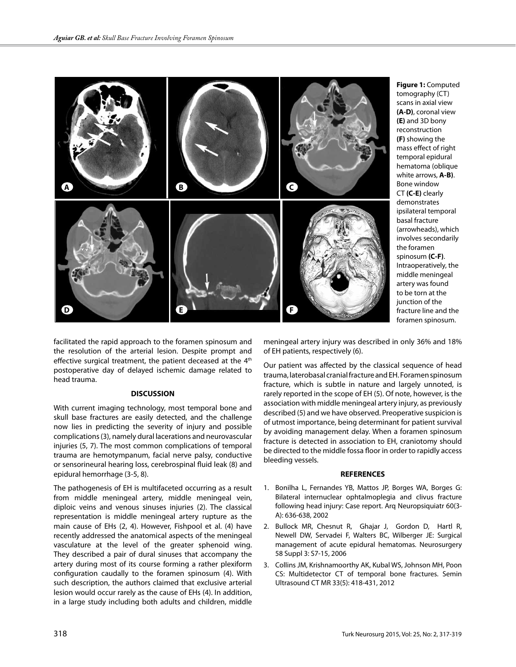

**Figure 1:** Computed tomography (CT) scans in axial view **(A-D)**, coronal view **(E)** and 3D bony reconstruction **(F)** showing the mass effect of right temporal epidural hematoma (oblique white arrows, **A-B)**. Bone window CT **(C-E)** clearly demonstrates ipsilateral temporal basal fracture (arrowheads), which involves secondarily the foramen spinosum **(C-F)**. Intraoperatively, the middle meningeal artery was found to be torn at the junction of the fracture line and the foramen spinosum.

facilitated the rapid approach to the foramen spinosum and the resolution of the arterial lesion. Despite prompt and effective surgical treatment, the patient deceased at the 4<sup>th</sup> postoperative day of delayed ischemic damage related to head trauma.

# **DISCUSSION**

With current imaging technology, most temporal bone and skull base fractures are easily detected, and the challenge now lies in predicting the severity of injury and possible complications (3), namely dural lacerations and neurovascular injuries (5, 7). The most common complications of temporal trauma are hemotympanum, facial nerve palsy, conductive or sensorineural hearing loss, cerebrospinal fluid leak (8) and epidural hemorrhage (3-5, 8).

The pathogenesis of EH is multifaceted occurring as a result from middle meningeal artery, middle meningeal vein, diploic veins and venous sinuses injuries (2). The classical representation is middle meningeal artery rupture as the main cause of EHs (2, 4). However, Fishpool et al. (4) have recently addressed the anatomical aspects of the meningeal vasculature at the level of the greater sphenoid wing. They described a pair of dural sinuses that accompany the artery during most of its course forming a rather plexiform configuration caudally to the foramen spinosum (4). With such description, the authors claimed that exclusive arterial lesion would occur rarely as the cause of EHs (4). In addition, in a large study including both adults and children, middle

meningeal artery injury was described in only 36% and 18% of EH patients, respectively (6).

Our patient was affected by the classical sequence of head trauma, laterobasal cranial fracture and EH. Foramen spinosum fracture, which is subtle in nature and largely unnoted, is rarely reported in the scope of EH (5). Of note, however, is the association with middle meningeal artery injury, as previously described (5) and we have observed. Preoperative suspicion is of utmost importance, being determinant for patient survival by avoiding management delay. When a foramen spinosum fracture is detected in association to EH, craniotomy should be directed to the middle fossa floor in order to rapidly access bleeding vessels.

#### **REFERENCES**

- 1. Bonilha L, Fernandes YB, Mattos JP, Borges WA, Borges G: Bilateral internuclear ophtalmoplegia and clivus fracture following head injury: Case report. Arq Neuropsiquiatr 60(3- A): 636-638, 2002
- 2. Bullock MR, Chesnut R, Ghajar J, Gordon D, Hartl R, Newell DW, Servadei F, Walters BC, Wilberger JE: Surgical management of acute epidural hematomas. Neurosurgery 58 Suppl 3: S7-15, 2006
- 3. Collins JM, Krishnamoorthy AK, Kubal WS, Johnson MH, Poon CS: Multidetector CT of temporal bone fractures. Semin Ultrasound CT MR 33(5): 418-431, 2012